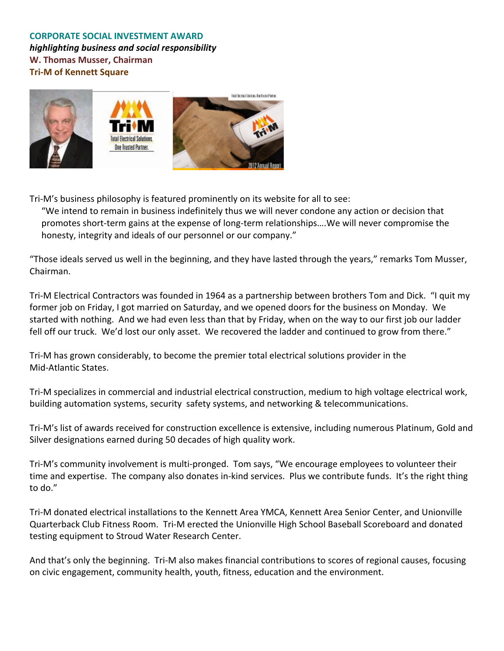## **CORPORATE SOCIAL INVESTMENT AWARD** *highlighting business and social responsibility* **W. Thomas Musser, Chairman Tri-M of Kennett Square**



Tri-M's business philosophy is featured prominently on its website for all to see:

"We intend to remain in business indefinitely thus we will never condone any action or decision that promotes short-term gains at the expense of long-term relationships....We will never compromise the honesty, integrity and ideals of our personnel or our company."

"Those ideals served us well in the beginning, and they have lasted through the years," remarks Tom Musser, Chairman.

Tri-M Electrical Contractors was founded in 1964 as a partnership between brothers Tom and Dick. "I quit my former job on Friday, I got married on Saturday, and we opened doors for the business on Monday. We started with nothing. And we had even less than that by Friday, when on the way to our first job our ladder fell off our truck. We'd lost our only asset. We recovered the ladder and continued to grow from there."

Tri-M has grown considerably, to become the premier total electrical solutions provider in the Mid-Atlantic States.

Tri-M specializes in commercial and industrial electrical construction, medium to high voltage electrical work, building automation systems, security safety systems, and networking & telecommunications.

Tri-M's list of awards received for construction excellence is extensive, including numerous Platinum, Gold and Silver designations earned during 50 decades of high quality work.

Tri-M's community involvement is multi-pronged. Tom says, "We encourage employees to volunteer their time and expertise. The company also donates in-kind services. Plus we contribute funds. It's the right thing to do."

Tri-M donated electrical installations to the Kennett Area YMCA, Kennett Area Senior Center, and Unionville Quarterback Club Fitness Room. Tri-M erected the Unionville High School Baseball Scoreboard and donated testing equipment to Stroud Water Research Center.

And that's only the beginning. Tri-M also makes financial contributions to scores of regional causes, focusing on civic engagement, community health, youth, fitness, education and the environment.